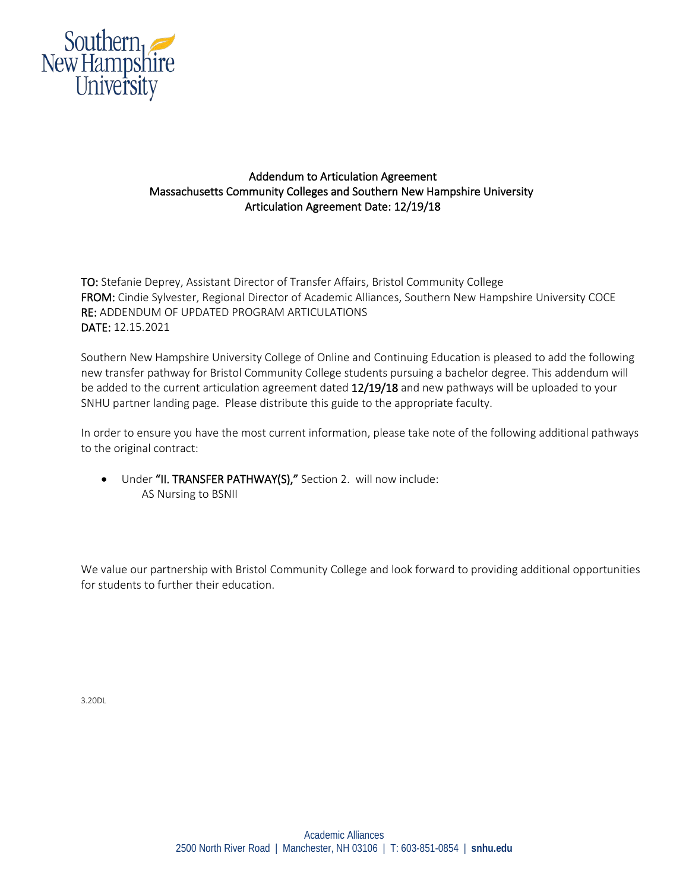

## Addendum to Articulation Agreement Massachusetts Community Colleges and Southern New Hampshire University Articulation Agreement Date: 12/19/18

TO: Stefanie Deprey, Assistant Director of Transfer Affairs, Bristol Community College FROM: Cindie Sylvester, Regional Director of Academic Alliances, Southern New Hampshire University COCE RE: ADDENDUM OF UPDATED PROGRAM ARTICULATIONS DATE: 12.15.2021

Southern New Hampshire University College of Online and Continuing Education is pleased to add the following new transfer pathway for Bristol Community College students pursuing a bachelor degree. This addendum will be added to the current articulation agreement dated 12/19/18 and new pathways will be uploaded to your SNHU partner landing page. Please distribute this guide to the appropriate faculty.

In order to ensure you have the most current information, please take note of the following additional pathways to the original contract:

• Under "II. TRANSFER PATHWAY(S)," Section 2. will now include: AS Nursing to BSNII

We value our partnership with Bristol Community College and look forward to providing additional opportunities for students to further their education.

3.20DL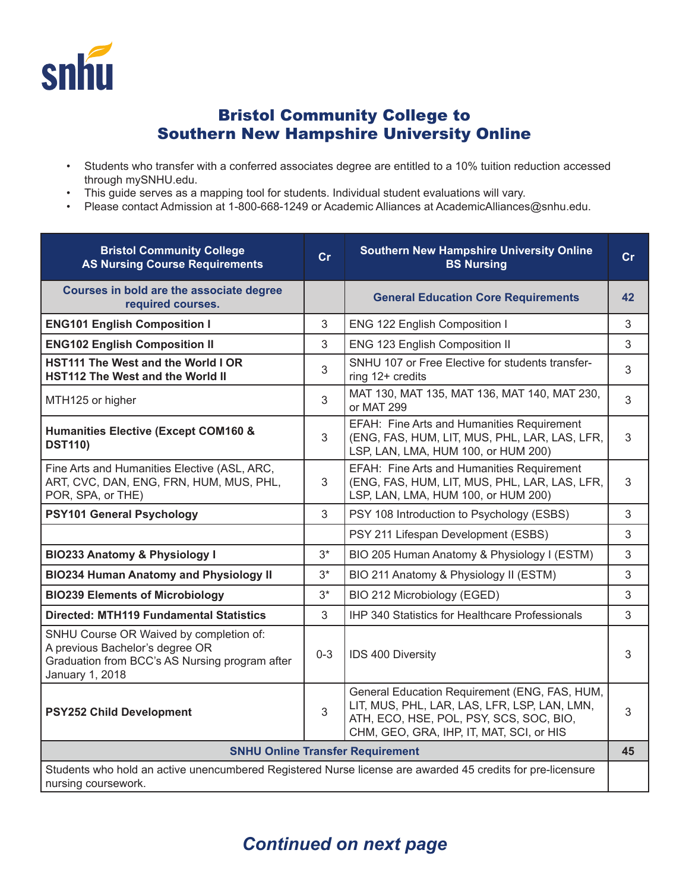

## Bristol Community College to Southern New Hampshire University Online

- Students who transfer with a conferred associates degree are entitled to a 10% tuition reduction accessed through mySNHU.edu.
- This guide serves as a mapping tool for students. Individual student evaluations will vary.
- Please contact Admission at 1-800-668-1249 or Academic Alliances at AcademicAlliances@snhu.edu.

| <b>Bristol Community College</b><br><b>AS Nursing Course Requirements</b>                                                                       | cr      | <b>Southern New Hampshire University Online</b><br><b>BS Nursing</b>                                                                                                                 | $\mathsf{Cr}$ |  |
|-------------------------------------------------------------------------------------------------------------------------------------------------|---------|--------------------------------------------------------------------------------------------------------------------------------------------------------------------------------------|---------------|--|
| Courses in bold are the associate degree<br>required courses.                                                                                   |         | <b>General Education Core Requirements</b>                                                                                                                                           | 42            |  |
| <b>ENG101 English Composition I</b>                                                                                                             | 3       | ENG 122 English Composition I                                                                                                                                                        | 3             |  |
| <b>ENG102 English Composition II</b>                                                                                                            | 3       | ENG 123 English Composition II                                                                                                                                                       | 3             |  |
| HST111 The West and the World I OR<br><b>HST112 The West and the World II</b>                                                                   | 3       | SNHU 107 or Free Elective for students transfer-<br>ring 12+ credits                                                                                                                 | 3             |  |
| MTH125 or higher                                                                                                                                | 3       | MAT 130, MAT 135, MAT 136, MAT 140, MAT 230,<br>or MAT 299                                                                                                                           | 3             |  |
| <b>Humanities Elective (Except COM160 &amp;</b><br><b>DST110)</b>                                                                               | 3       | EFAH: Fine Arts and Humanities Requirement<br>(ENG, FAS, HUM, LIT, MUS, PHL, LAR, LAS, LFR,<br>LSP, LAN, LMA, HUM 100, or HUM 200)                                                   | 3             |  |
| Fine Arts and Humanities Elective (ASL, ARC,<br>ART, CVC, DAN, ENG, FRN, HUM, MUS, PHL,<br>POR, SPA, or THE)                                    | 3       | EFAH: Fine Arts and Humanities Requirement<br>(ENG, FAS, HUM, LIT, MUS, PHL, LAR, LAS, LFR,<br>LSP, LAN, LMA, HUM 100, or HUM 200)                                                   | 3             |  |
| PSY101 General Psychology                                                                                                                       | 3       | PSY 108 Introduction to Psychology (ESBS)                                                                                                                                            | 3             |  |
|                                                                                                                                                 |         | PSY 211 Lifespan Development (ESBS)                                                                                                                                                  | $\sqrt{3}$    |  |
| <b>BIO233 Anatomy &amp; Physiology I</b>                                                                                                        | $3*$    | BIO 205 Human Anatomy & Physiology I (ESTM)                                                                                                                                          | 3             |  |
| <b>BIO234 Human Anatomy and Physiology II</b>                                                                                                   | $3*$    | BIO 211 Anatomy & Physiology II (ESTM)                                                                                                                                               | 3             |  |
| <b>BIO239 Elements of Microbiology</b>                                                                                                          | $3^*$   | BIO 212 Microbiology (EGED)                                                                                                                                                          | 3             |  |
| <b>Directed: MTH119 Fundamental Statistics</b>                                                                                                  | 3       | IHP 340 Statistics for Healthcare Professionals                                                                                                                                      | 3             |  |
| SNHU Course OR Waived by completion of:<br>A previous Bachelor's degree OR<br>Graduation from BCC's AS Nursing program after<br>January 1, 2018 | $0 - 3$ | IDS 400 Diversity                                                                                                                                                                    | 3             |  |
| <b>PSY252 Child Development</b>                                                                                                                 | 3       | General Education Requirement (ENG, FAS, HUM,<br>LIT, MUS, PHL, LAR, LAS, LFR, LSP, LAN, LMN,<br>ATH, ECO, HSE, POL, PSY, SCS, SOC, BIO,<br>CHM, GEO, GRA, IHP, IT, MAT, SCI, or HIS | 3             |  |
| <b>SNHU Online Transfer Requirement</b>                                                                                                         |         |                                                                                                                                                                                      |               |  |
| Students who hold an active unencumbered Registered Nurse license are awarded 45 credits for pre-licensure<br>nursing coursework.               |         |                                                                                                                                                                                      |               |  |

## *Continued on next page*